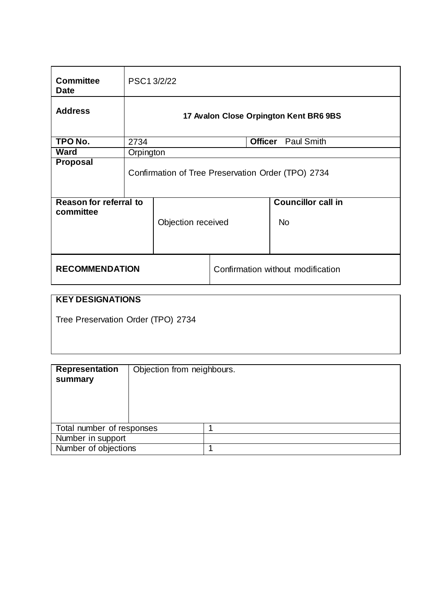| <b>Committee</b><br><b>Date</b>            | PSC13/2/22                                         |                    |                                   |  |                                        |  |
|--------------------------------------------|----------------------------------------------------|--------------------|-----------------------------------|--|----------------------------------------|--|
| <b>Address</b>                             | 17 Avalon Close Orpington Kent BR6 9BS             |                    |                                   |  |                                        |  |
| TPO No.                                    | 2734                                               |                    | <b>Officer</b> Paul Smith         |  |                                        |  |
| <b>Ward</b>                                | Orpington                                          |                    |                                   |  |                                        |  |
| <b>Proposal</b>                            | Confirmation of Tree Preservation Order (TPO) 2734 |                    |                                   |  |                                        |  |
| <b>Reason for referral to</b><br>committee |                                                    | Objection received |                                   |  | <b>Councillor call in</b><br><b>No</b> |  |
| <b>RECOMMENDATION</b>                      |                                                    |                    | Confirmation without modification |  |                                        |  |

# **KEY DESIGNATIONS**

Tree Preservation Order (TPO) 2734

| <b>Representation</b><br>summary | Objection from neighbours. |
|----------------------------------|----------------------------|
| Total number of responses        |                            |
| Number in support                |                            |
| Number of objections             |                            |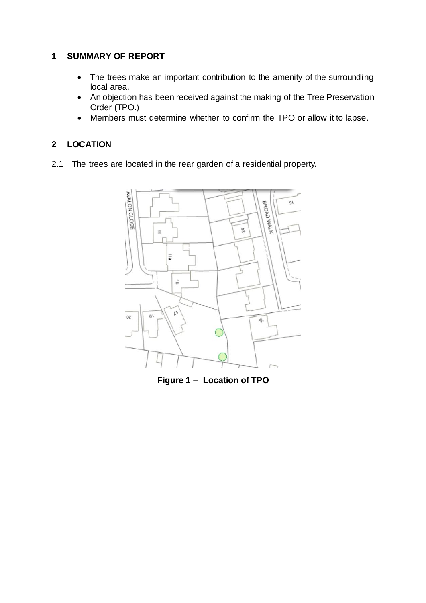## **1 SUMMARY OF REPORT**

- The trees make an important contribution to the amenity of the surrounding local area.
- An objection has been received against the making of the Tree Preservation Order (TPO.)
- Members must determine whether to confirm the TPO or allow it to lapse.

# **2 LOCATION**

2.1 The trees are located in the rear garden of a residential property**.** 



**Figure 1 – Location of TPO**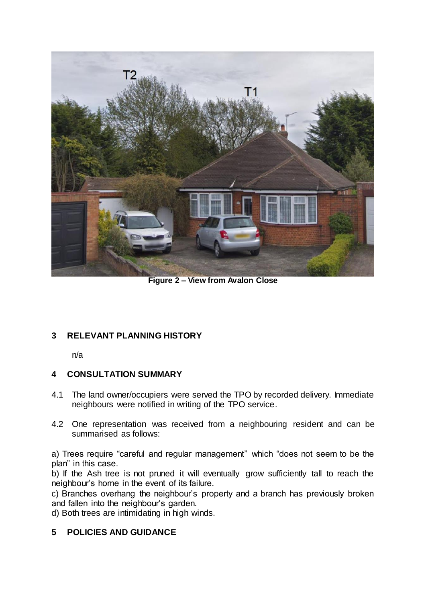

**Figure 2 – View from Avalon Close**

## **3 RELEVANT PLANNING HISTORY**

n/a

## **4 CONSULTATION SUMMARY**

- 4.1 The land owner/occupiers were served the TPO by recorded delivery. Immediate neighbours were notified in writing of the TPO service.
- 4.2 One representation was received from a neighbouring resident and can be summarised as follows:

a) Trees require "careful and regular management" which "does not seem to be the plan" in this case.

b) If the Ash tree is not pruned it will eventually grow sufficiently tall to reach the neighbour's home in the event of its failure.

c) Branches overhang the neighbour's property and a branch has previously broken and fallen into the neighbour's garden.

d) Both trees are intimidating in high winds.

## **5 POLICIES AND GUIDANCE**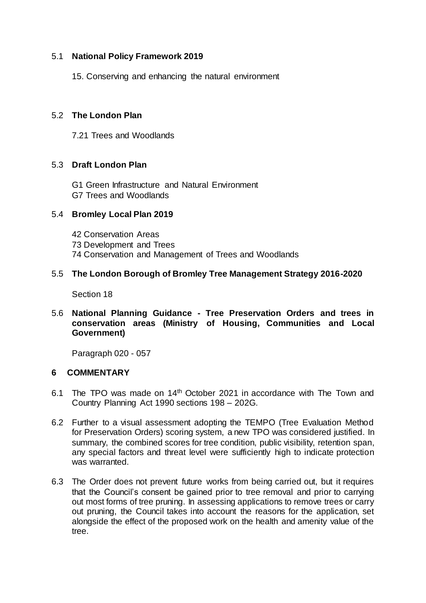#### 5.1 **National Policy Framework 2019**

15. Conserving and enhancing the natural environment

### 5.2 **The London Plan**

7.21 Trees and Woodlands

### 5.3 **Draft London Plan**

G1 Green Infrastructure and Natural Environment G7 Trees and Woodlands

### 5.4 **Bromley Local Plan 2019**

42 Conservation Areas 73 Development and Trees 74 Conservation and Management of Trees and Woodlands

### 5.5 **The London Borough of Bromley Tree Management Strategy 2016-2020**

Section 18

5.6 **National Planning Guidance - Tree Preservation Orders and trees in conservation areas (Ministry of Housing, Communities and Local Government)**

Paragraph 020 - 057

### **6 COMMENTARY**

- 6.1 The TPO was made on 14<sup>th</sup> October 2021 in accordance with The Town and Country Planning Act 1990 sections 198 – 202G.
- 6.2 Further to a visual assessment adopting the TEMPO (Tree Evaluation Method for Preservation Orders) scoring system, a new TPO was considered justified. In summary, the combined scores for tree condition, public visibility, retention span, any special factors and threat level were sufficiently high to indicate protection was warranted.
- 6.3 The Order does not prevent future works from being carried out, but it requires that the Council's consent be gained prior to tree removal and prior to carrying out most forms of tree pruning. In assessing applications to remove trees or carry out pruning, the Council takes into account the reasons for the application, set alongside the effect of the proposed work on the health and amenity value of the tree.